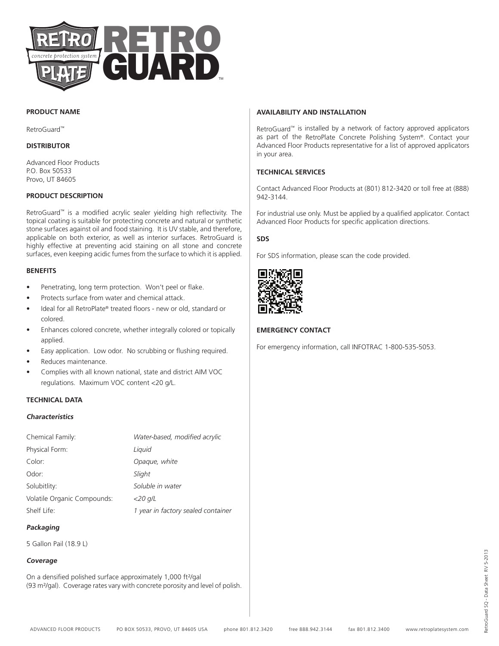

# **PRODUCT NAME**

RetroGuard™

### **DISTRIBUTOR**

Advanced Floor Products P.O. Box 50533 Provo, UT 84605

## **PRODUCT DESCRIPTION**

RetroGuard™ is a modified acrylic sealer yielding high reflectivity. The topical coating is suitable for protecting concrete and natural or synthetic stone surfaces against oil and food staining. It is UV stable, and therefore, applicable on both exterior, as well as interior surfaces. RetroGuard is highly effective at preventing acid staining on all stone and concrete surfaces, even keeping acidic fumes from the surface to which it is applied.

## **BENEFITS**

- Penetrating, long term protection. Won't peel or flake.
- Protects surface from water and chemical attack.
- Ideal for all RetroPlate® treated floors new or old, standard or colored.
- Enhances colored concrete, whether integrally colored or topically applied.
- Easy application. Low odor. No scrubbing or flushing required.
- Reduces maintenance.
- Complies with all known national, state and district AIM VOC regulations. Maximum VOC content <20 g/L.

# **TECHNICAL DATA**

# **Characteristics**

| Chemical Family:            | Water-based, modified acrylic      |
|-----------------------------|------------------------------------|
| Physical Form:              | Liguid                             |
| Color:                      | Opaque, white                      |
| Odor:                       | Slight                             |
| Solubitlity:                | Soluble in water                   |
| Volatile Organic Compounds: | $<$ 20 g/L                         |
| Shelf Life:                 | 1 year in factory sealed container |

# **Packaging**

5 Gallon Pail (18.9 L)

#### **Coverage**

On a densified polished surface approximately 1,000 ft²/gal (93 m²/gal). Coverage rates vary with concrete porosity and level of polish.

## **AVAILABILITY AND INSTALLATION**

RetroGuard™ is installed by a network of factory approved applicators as part of the RetroPlate Concrete Polishing System®. Contact your Advanced Floor Products representative for a list of approved applicators in your area.

# **TECHNICAL SERVICES**

Contact Advanced Floor Products at (801) 812-3420 or toll free at (888) 942-3144.

For industrial use only. Must be applied by a qualified applicator. Contact Advanced Floor Products for specific application directions.

# **SDS**

For SDS information, please scan the code provided.



# **EMERGENCY CONTACT**

For emergency information, call INFOTRAC 1-800-535-5053.